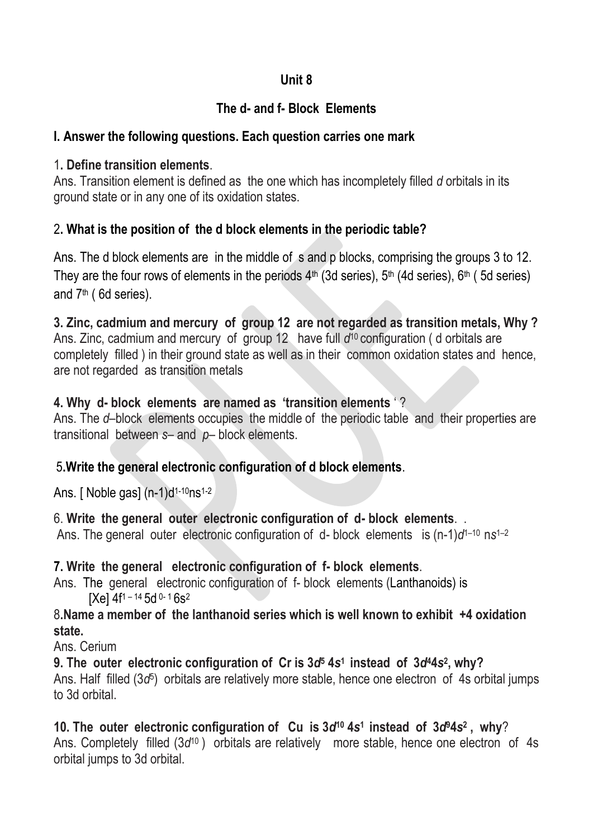## **Unit 8**

# **The d- and f- Block Elements**

## **I. Answer the following questions. Each question carries one mark**

## 1**. Define transition elements**.

Ans. Transition element is defined as the one which has incompletely filled *d* orbitals in its ground state or in any one of its oxidation states.

## 2**. What is the position of the d block elements in the periodic table?**

Ans. The d block elements are in the middle of s and p blocks, comprising the groups 3 to 12. They are the four rows of elements in the periods  $4<sup>th</sup>$  (3d series),  $5<sup>th</sup>$  (4d series),  $6<sup>th</sup>$  (5d series) and 7th ( 6d series).

**3. Zinc, cadmium and mercury of group 12 are not regarded as transition metals, Why ?**  Ans. Zinc, cadmium and mercury of group 12 have full d<sup>10</sup> configuration (d orbitals are completely filled ) in their ground state as well as in their common oxidation states and hence, are not regarded as transition metals

## **4. Why d- block elements are named as 'transition elements** ' ?

Ans. The *d*–block elements occupies the middle of the periodic table and their properties are transitional between *s*– and *p*– block elements.

## 5**.Write the general electronic configuration of d block elements**.

Ans. [ Noble gas]  $(n-1)d^{1-10}$ ns<sup>1-2</sup>

6. **Write the general outer electronic configuration of d- block elements**. . Ans. The general outer electronic configuration of d- block elements is (n-1)*d*<sup>1-10</sup> ns<sup>1-2</sup>

## **7. Write the general electronic configuration of f- block elements**.

Ans. [The general electronic configuration of f-](http://www.youtube.com/v/IFmAhhiam9g?fs=1&hl=en_US) block elements (Lanthanoids) is  $[Xe]$  4f<sup>1-14</sup> 5d <sup>0-1</sup> 6s<sup>2</sup>

8**.Name a member of the lanthanoid series which is well known to exhibit +4 oxidation state.**

Ans. Cerium

**9. The outer electronic configuration of Cr is 3***d***<sup>5</sup> 4***s* **<sup>1</sup>instead of 3***d***44***s* **2 , why?** Ans. Half filled (3*d*<sup>5</sup>) orbitals are relatively more stable, hence one electron of 4s orbital jumps to 3d orbital.

**10. The outer electronic configuration of Cu is 3***d***<sup>10</sup> 4***s* **<sup>1</sup>instead of 3***d***94***s* **2 , why**? Ans. Completely filled (3d<sup>10</sup>) orbitals are relatively more stable, hence one electron of 4s

orbital jumps to 3d orbital.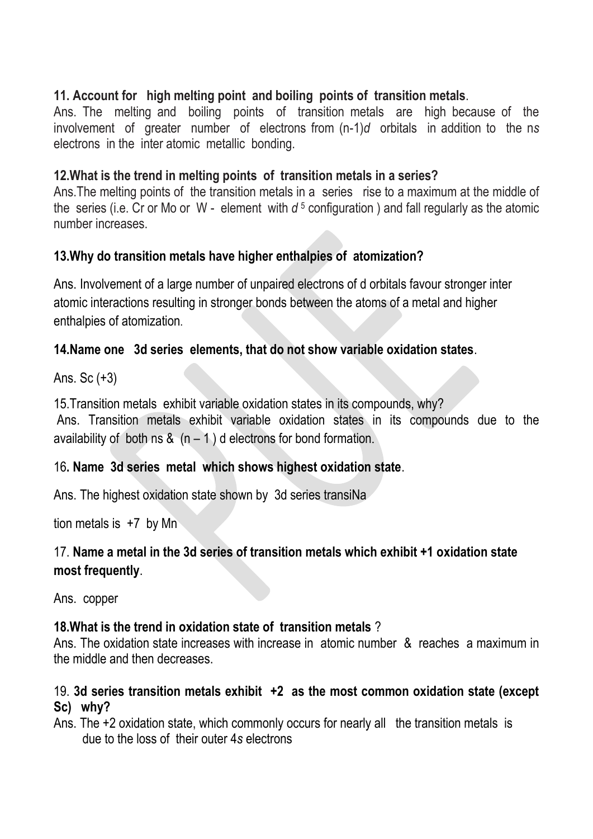## **11. Account for high melting point and boiling points of transition metals**.

Ans. The melting and boiling points of transition metals are high because of the involvement of greater number of electrons from (n-1)*d* orbitalsin addition to the n*s*  electrons in the inter atomic metallic bonding.

## **12.What is the trend in melting points of transition metals in a series?**

Ans.The melting points of the transition metals in a series rise to a maximum at the middle of the series (i.e. Cr or Mo or W - element with *d* <sup>5</sup> configuration ) and fall regularly as the atomic number increases.

## **13.Why do transition metals have higher enthalpies of atomization?**

Ans. Involvement of a large number of unpaired electrons of d orbitals favour stronger inter atomic interactions resulting in stronger bonds between the atoms of a metal and higher enthalpies of atomization.

## **14.Name one 3d series elements, that do not show variable oxidation states**.

Ans. Sc (+3)

15.Transition metals exhibit variable oxidation states in its compounds, why? Ans. Transition metals exhibit variable oxidation states in its compounds due to the availability of both ns &  $(n - 1)$  d electrons for bond formation.

## 16**. Name 3d series metal which shows highest oxidation state**.

Ans. The highest oxidation state shown by 3d series transiNa

tion metals is  $+7$  by Mn

## 17. **Name a metal in the 3d series of transition metals which exhibit +1 oxidation state most frequently**.

Ans. copper

## **18.What is the trend in oxidation state of transition metals** ?

Ans. The oxidation state increases with increase in atomic number & reaches a maximum in the middle and then decreases.

## 19. **3d series transition metals exhibit +2 as the most common oxidation state (except Sc) why?**

Ans. The +2 oxidation state, which commonly occurs for nearly all the transition metals is due to the loss of their outer 4*s* electrons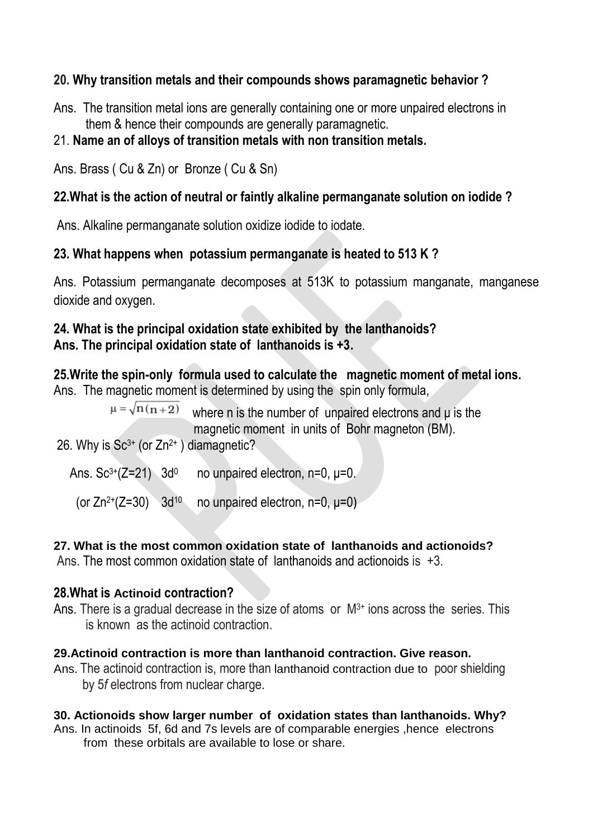## **20. Why transition metals and their compounds shows paramagnetic behavior ?**

Ans. The transition metal ions are generally containing one or more unpaired electrons in them & hence their compounds are generally paramagnetic.

### 21. **Name an of alloys of transition metals with non transition metals.**

Ans. Brass ( Cu & Zn) or Bronze ( Cu & Sn)

### **22.What is the action of neutral or faintly alkaline permanganate solution on iodide ?**

Ans. Alkaline permanganate solution oxidize iodide to iodate.

### **23. What happens when potassium permanganate is heated to 513 K ?**

Ans. Potassium permanganate decomposes at 513K to potassium manganate, manganese dioxide and oxygen.

#### **24. What is the principal oxidation state exhibited by the lanthanoids? Ans. The principal oxidation state of lanthanoids is +3.**

**25.Write the spin-only formula used to calculate the magnetic moment of metal ions.**  Ans. The magnetic moment is determined by using the spin only formula,

> $\mu = \sqrt{n(n+2)}$  where n is the number of unpaired electrons and μ is the magnetic moment in units of Bohr magneton (BM).

26. Why is  $Sc^{3+}$  (or  $Zn^{2+}$ ) diamagnetic?

Ans.  $Sc^{3+}(Z=21)$  3d<sup>0</sup> no unpaired electron, n=0,  $\mu$ =0.

(or  $Zn^{2+}(Z=30)$  3d<sup>10</sup> no unpaired electron, n=0,  $\mu$ =0)

#### **27. What is the most common oxidation state of lanthanoids and actionoids?**

Ans. The most common oxidation state of lanthanoids and actionoids is +3.

#### **28.What is Actinoid contraction?**

Ans. There is a gradual decrease in the size of atoms or  $M<sup>3+</sup>$  ions across the series. This is known as the actinoid contraction.

#### **29.Actinoid contraction is more than lanthanoid contraction. Give reason.**

Ans. The actinoid contraction is, more than lanthanoid contraction due to poor shielding by 5*f* electrons from nuclear charge.

#### **30. Actionoids show larger number of oxidation states than lanthanoids. Why?**

Ans. In actinoids 5f, 6d and 7s levels are of comparable energies ,hence electrons from these orbitals are available to lose or share.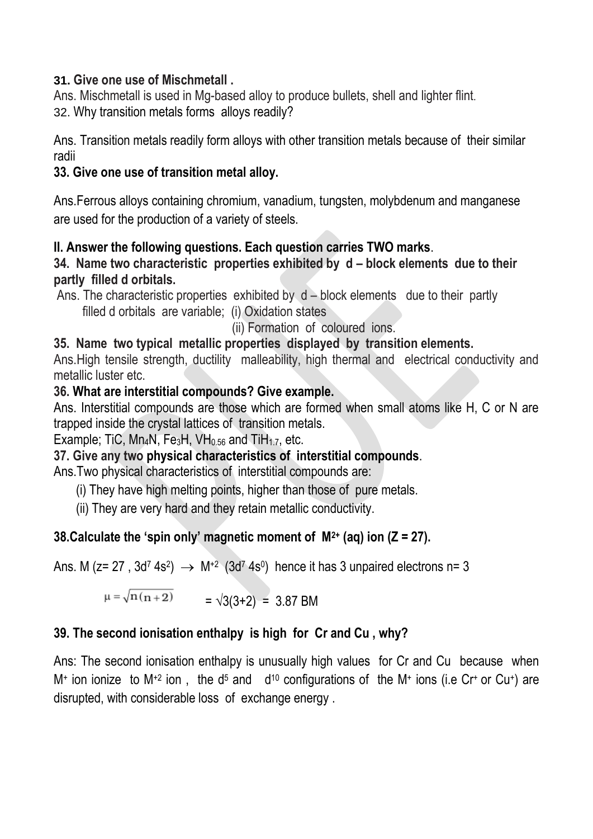## **31. Give one use of Mischmetall .**

Ans. Mischmetall is used in Mg-based alloy to produce bullets, shell and lighter flint. 32. Why transition metals forms alloys readily?

Ans. Transition metals readily form alloys with other transition metals because of their similar radii

## **33. Give one use of transition metal alloy.**

Ans.Ferrous alloys containing chromium, vanadium, tungsten, molybdenum and manganese are used for the production of a variety of steels.

## **II. Answer the following questions. Each question carries TWO marks**.

### **34. Name two characteristic properties exhibited by d – block elements due to their partly filled d orbitals.**

Ans. The characteristic properties exhibited by d – block elements due to their partly filled d orbitals are variable; (i) Oxidation states

(ii) Formation of coloured ions.

## **35. Name two typical metallic properties displayed by transition elements.**

Ans.High tensile strength, ductility malleability, high thermal and electrical conductivity and metallic luster etc.

### **36. What are interstitial compounds? Give example.**

Ans. Interstitial compounds are those which are formed when small atoms like H, C or N are trapped inside the crystal lattices of transition metals.

Example; TiC, Mn<sub>4</sub>N, Fe<sub>3</sub>H, VH<sub>0.56</sub> and TiH<sub>1.7</sub>, etc.

## **37. Give any two physical characteristics of interstitial compounds**.

Ans.Two physical characteristics of interstitial compounds are:

- (i) They have high melting points, higher than those of pure metals.
- (ii) They are very hard and they retain metallic conductivity.

## **38.Calculate the 'spin only' magnetic moment of M2+ (aq) ion (Z = 27).**

Ans. M (z= 27, 3d<sup>7</sup> 4s<sup>2</sup>)  $\rightarrow$  M<sup>+2</sup> (3d<sup>7</sup> 4s<sup>0</sup>) hence it has 3 unpaired electrons n= 3

 $\mu = \sqrt{n(n+2)}$  =  $\sqrt{3(3+2)}$  = 3.87 BM

# **39. The second ionisation enthalpy is high for Cr and Cu , why?**

Ans: The second ionisation enthalpy is unusually high values for Cr and Cu because when  $M^+$  ion ionize to  $M^{+2}$  ion, the d<sup>5</sup> and d<sup>10</sup> configurations of the  $M^+$  ions (i.e Cr<sup>+</sup> or Cu<sup>+</sup>) are disrupted, with considerable loss of exchange energy .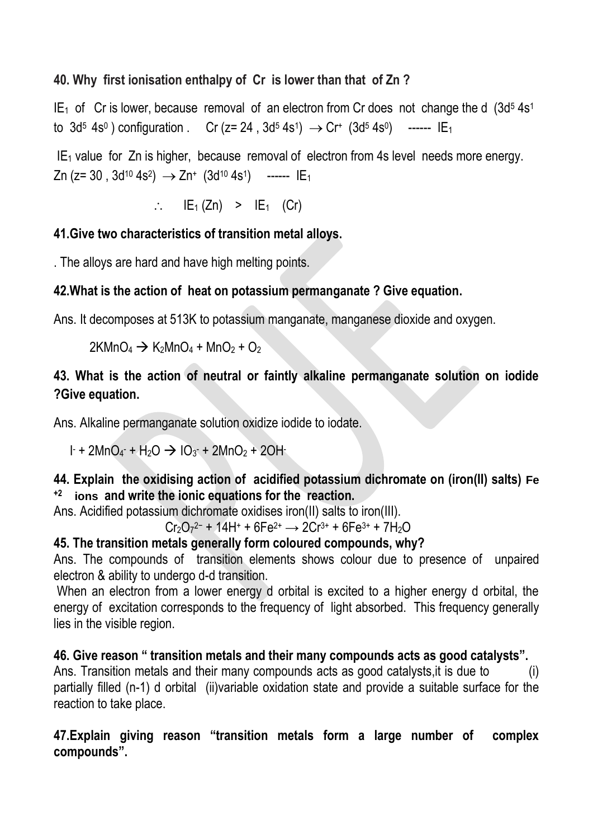## **40. Why first ionisation enthalpy of Cr is lower than that of Zn ?**

 $IE_1$  of Cr is lower, because removal of an electron from Cr does not change the d  $(3d^5 4s^1)$ to 3d<sup>5</sup> 4s<sup>0</sup>) configuration . Cr (z= 24, 3d<sup>5</sup> 4s<sup>1</sup>)  $\rightarrow$  Cr<sup>+</sup> (3d<sup>5</sup> 4s<sup>0</sup>) ------ IE<sub>1</sub>

 $IE<sub>1</sub>$  value for Zn is higher, because removal of electron from 4s level needs more energy. Zn (z= 30 , 3d<sup>10</sup> 4s<sup>2</sup>)  $\;\rightarrow$  Zn+ (3d<sup>10</sup> 4s<sup>1</sup>) ------ IE<sub>1</sub>

 $\therefore$  IE<sub>1</sub> (Zn) > IE<sub>1</sub> (Cr)

## **41.Give two characteristics of transition metal alloys.**

. The alloys are hard and have high melting points.

## **42.What is the action of heat on potassium permanganate ? Give equation.**

Ans. It decomposes at 513K to potassium manganate, manganese dioxide and oxygen.

 $2KMnO_4 \rightarrow K_2MnO_4 + MnO_2 + O_2$ 

# **43. What is the action of neutral or faintly alkaline permanganate solution on iodide ?Give equation.**

Ans. Alkaline permanganate solution oxidize iodide to iodate.

 $1 + 2MnO<sub>4</sub> + H<sub>2</sub>O \rightarrow IO<sub>3</sub> + 2MnO<sub>2</sub> + 2OH$ 

## **44. Explain the oxidising action of acidified potassium dichromate on (iron(II) salts) Fe +2 ions and write the ionic equations for the reaction.**

Ans. Acidified potassium dichromate oxidises iron(II) salts to iron(III).

```
Cr_2O_7{}^{2-} + 14H+ + 6Fe^{2+} \longrightarrow 2Cr^{3+} + 6Fe^{3+} + 7H_2O
```
## **45. The transition metals generally form coloured compounds, why?**

Ans. The compounds of transition elements shows colour due to presence of unpaired electron & ability to undergo d-d transition.

When an electron from a lower energy d orbital is excited to a higher energy d orbital, the energy of excitation corresponds to the frequency of light absorbed. This frequency generally lies in the visible region.

**46. Give reason " transition metals and their many compounds acts as good catalysts".**  Ans. Transition metals and their many compounds acts as good catalysts, it is due to  $\qquad \qquad$  (i) partially filled (n-1) d orbital (ii)variable oxidation state and provide a suitable surface for the reaction to take place.

### **47.Explain giving reason "transition metals form a large number of complex compounds".**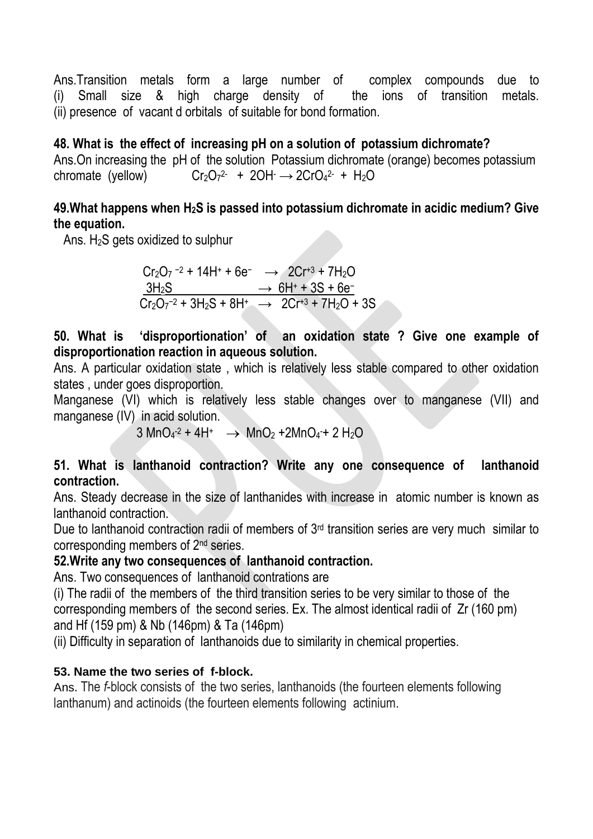Ans.Transition metals form a large number of complex compounds due to (i) Small size & high charge density of the ions of transition metals. (ii) presence of vacant d orbitals of suitable for bond formation.

### **48. What is the effect of increasing pH on a solution of potassium dichromate?**

Ans.On increasing the pH of the solution Potassium dichromate (orange) becomes potassium chromate (yellow) 2 + 2OH → 2CrO<sub>4</sub>2 + H<sub>2</sub>O

### **49.What happens when H2S is passed into potassium dichromate in acidic medium? Give the equation.**

Ans.  $H_2S$  gets oxidized to sulphur

 $Cr_2O_7$ <sup>-2</sup> + 14H<sup>+</sup> + 6e<sup>-</sup>  $\rightarrow$  2Cr<sup>+3</sup> + 7H<sub>2</sub>O  $3H_2S$  →  $6H^+ + 3S + 6e^ Cr_2O_7^{-2} + 3H_2S + 8H^+ \rightarrow 2Cr^{3} + 7H_2O + 3S$ 

**50. What is 'disproportionation' of an oxidation state ? Give one example of disproportionation reaction in aqueous solution.**

Ans. A particular oxidation state , which is relatively less stable compared to other oxidation states , under goes disproportion.

Manganese (VI) which is relatively less stable changes over to manganese (VII) and manganese (IV) in acid solution.

 $3 \text{ MnO}_4$ <sup>-2</sup> + 4H<sup>+</sup>  $\rightarrow \text{ MnO}_2$  + 2MnO<sub>4</sub>-+ 2 H<sub>2</sub>O

### **51. What is lanthanoid contraction? Write any one consequence of lanthanoid contraction.**

Ans. Steady decrease in the size of lanthanides with increase in atomic number is known as lanthanoid contraction.

Due to lanthanoid contraction radii of members of 3rd transition series are very much similar to corresponding members of 2nd series.

#### **52.Write any two consequences of lanthanoid contraction.**

Ans. Two consequences of lanthanoid contrations are

(i) The radii of the members of the third transition series to be very similar to those of the corresponding members of the second series. Ex. The almost identical radii of Zr (160 pm) and Hf (159 pm) & Nb (146pm) & Ta (146pm)

(ii) Difficulty in separation of lanthanoids due to similarity in chemical properties.

## **53. Name the two series of f-block.**

Ans. The *f*-block consists of the two series, lanthanoids (the fourteen elements following lanthanum) and actinoids (the fourteen elements following actinium.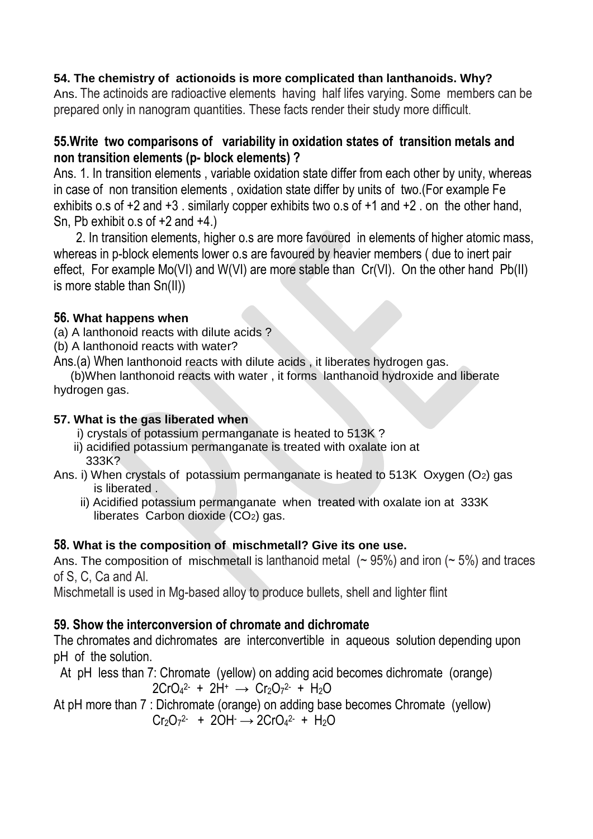#### **54. The chemistry of actionoids is more complicated than lanthanoids. Why?**

Ans. The actinoids are radioactive elements having half lifes varying. Some members can be prepared only in nanogram quantities. These facts render their study more difficult.

### **55.Write two comparisons of variability in oxidation states of transition metals and non transition elements (p- block elements) ?**

Ans. 1. In transition elements , variable oxidation state differ from each other by unity, whereas in case of non transition elements , oxidation state differ by units of two.(For example Fe exhibits o.s of +2 and +3 . similarly copper exhibits two o.s of +1 and +2 . on the other hand, Sn, Pb exhibit o.s of +2 and +4.)

2. In transition elements, higher o.s are more favoured in elements of higher atomic mass, whereas in p-block elements lower o.s are favoured by heavier members ( due to inert pair effect, For example Mo(VI) and W(VI) are more stable than Cr(VI). On the other hand Pb(II) is more stable than Sn(II))

#### **56. What happens when**

(a) A lanthonoid reacts with dilute acids ?

(b) A lanthonoid reacts with water?

Ans.(a) When lanthonoid reacts with dilute acids , it liberates hydrogen gas.

 (b)When lanthonoid reacts with water , it forms lanthanoid hydroxide and liberate hydrogen gas.

### **57. What is the gas liberated when**

- i) crystals of potassium permanganate is heated to 513K ?
- ii) acidified potassium permanganate is treated with oxalate ion at 333K?
- Ans. i) When crystals of potassium permanganate is heated to 513K Oxygen (O2) gas is liberated .
	- ii) Acidified potassium permanganate when treated with oxalate ion at 333K liberates Carbon dioxide (CO2) gas.

## **58. What is the composition of mischmetall? Give its one use.**

Ans. The composition of mischmetall is lanthanoid metal  $($   $\sim$  95%) and iron ( $\sim$  5%) and traces of S, C, Ca and Al.

Mischmetall is used in Mg-based alloy to produce bullets, shell and lighter flint

## **59. Show the interconversion of chromate and dichromate**

The chromates and dichromates are interconvertible in aqueous solution depending upon pH of the solution.

 At pH less than 7: Chromate (yellow) on adding acid becomes dichromate (orange)  $2CrO<sub>4</sub><sup>2</sup> + 2H<sup>+</sup> \rightarrow Cr<sub>2</sub>O<sub>7</sub><sup>2</sup> + H<sub>2</sub>O$ 

At pH more than 7 : Dichromate (orange) on adding base becomes Chromate (yellow)  $Cr_2O_7^2$  + 2OH  $\rightarrow$  2CrO<sub>4</sub><sup>2</sup> + H<sub>2</sub>O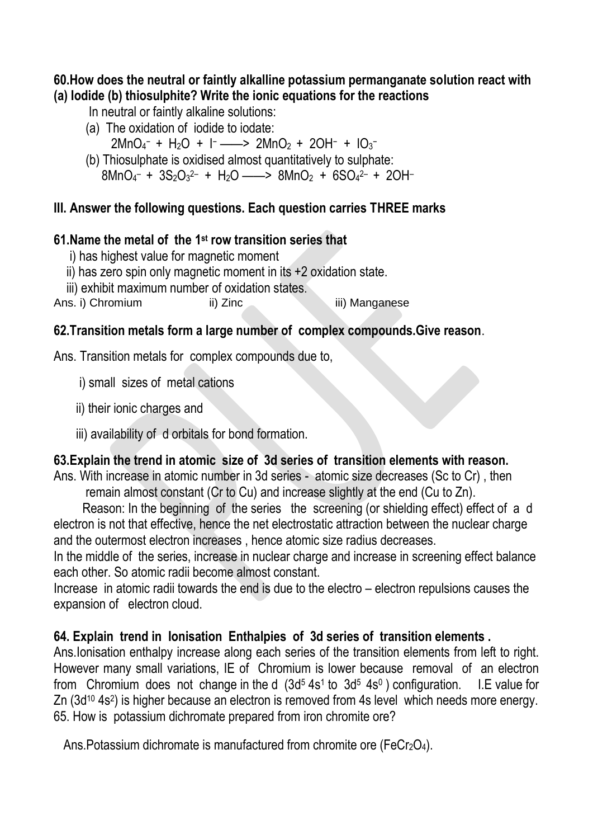#### **60.How does the neutral or faintly alkalline potassium permanganate solution react with (a) Iodide (b) thiosulphite? Write the ionic equations for the reactions**

In neutral or faintly alkaline solutions:

- (a) The oxidation of iodide to iodate:
- $2MnO_4^- + H_2O + I^- \longrightarrow 2MnO_2 + 2OH^- + IO_3^-$
- (b) Thiosulphate is oxidised almost quantitatively to sulphate:  $8MnO<sub>4</sub>$  +  $3S<sub>2</sub>O<sub>3</sub>$ <sup>2</sup> +  $H<sub>2</sub>O$  ——>  $8MnO<sub>2</sub>$  +  $6SO<sub>4</sub>$ <sup>2</sup> +  $2OH$

# **III. Answer the following questions. Each question carries THREE marks**

# **61.Name the metal of the 1 st row transition series that**

i) has highest value for magnetic moment

- ii) has zero spin only magnetic moment in its +2 oxidation state.
- iii) exhibit maximum number of oxidation states.

Ans. i) Chromium ii) Zinc iii) Manganese

# **62.Transition metals form a large number of complex compounds.Give reason**.

Ans. Transition metals for complex compounds due to,

- i) small sizes of metal cations
- ii) their ionic charges and
- iii) availability of d orbitals for bond formation.

# **63.Explain the trend in atomic size of 3d series of transition elements with reason.**

Ans. With increase in atomic number in 3d series - atomic size decreases (Sc to Cr) , then remain almost constant (Cr to Cu) and increase slightly at the end (Cu to Zn).

 Reason: In the beginning of the series the screening (or shielding effect) effect of a d electron is not that effective, hence the net electrostatic attraction between the nuclear charge and the outermost electron increases , hence atomic size radius decreases.

In the middle of the series, increase in nuclear charge and increase in screening effect balance each other. So atomic radii become almost constant.

Increase in atomic radii towards the end is due to the electro – electron repulsions causes the expansion of electron cloud.

# **64. Explain trend in Ionisation Enthalpies of 3d series of transition elements .**

Ans.Ionisation enthalpy increase along each series of the transition elements from left to right. However many small variations, IE of Chromium is lower because removal of an electron from Chromium does not change in the d  $(3d<sup>5</sup> 4s<sup>1</sup>$  to  $3d<sup>5</sup> 4s<sup>0</sup>)$  configuration. I.E value for Zn (3d<sup>10</sup> 4s<sup>2</sup>) is higher because an electron is removed from 4s level which needs more energy. 65. How is potassium dichromate prepared from iron chromite ore?

Ans. Potassium dichromate is manufactured from chromite ore (FeCr<sub>2</sub>O<sub>4</sub>).